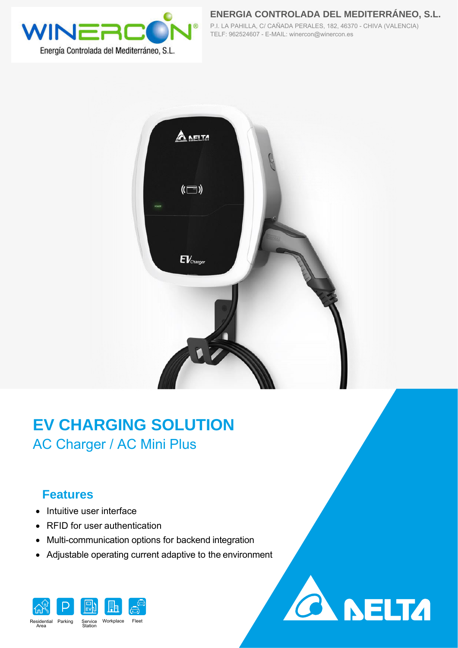

**ENERGIA CONTROLADA DEL MEDITERRÁNEO, S.L.** P.I. LA PAHILLA, C/ CAÑADA PERALES, 182, 46370 - CHIVA (VALENCIA) TELF: 962524607 - E-MAIL: winercon@winercon.es



## **EV CHARGING SOLUTION** AC Charger / AC Mini Plus

## **Features**

- Intuitive user interface
- RFID for user authentication
- Multi-communication options for backend integration
- Adjustable operating current adaptive to the environment